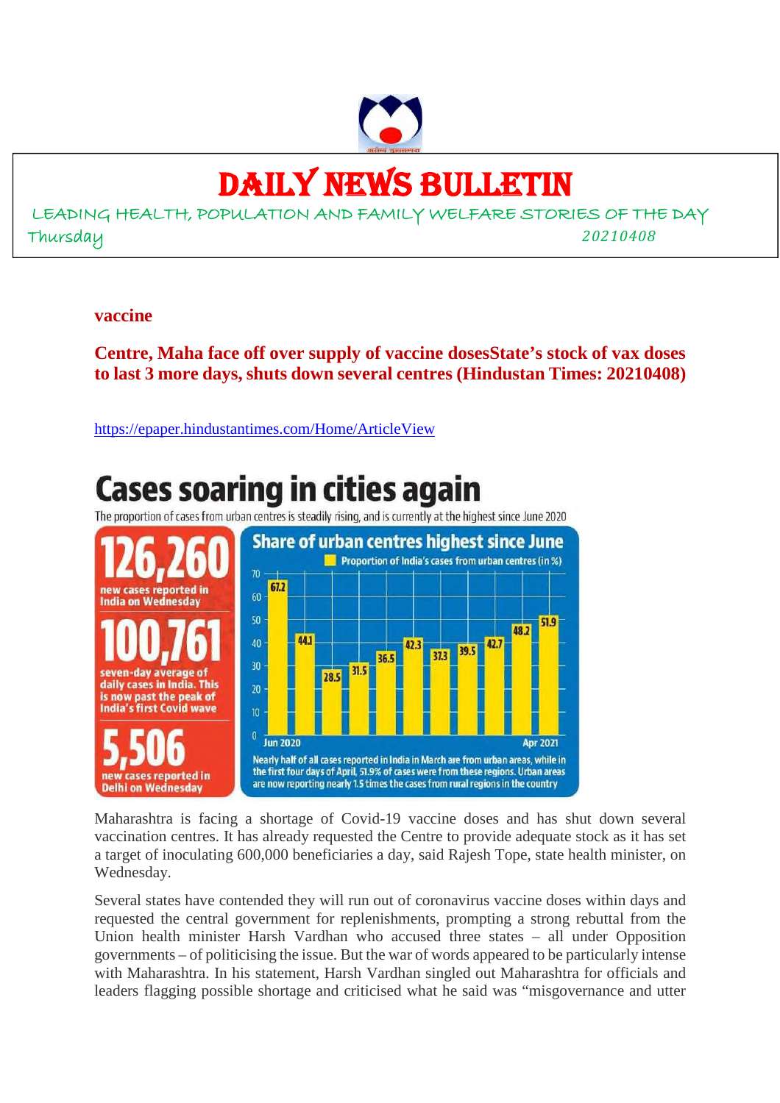

### DAILY NEWS BULLETIN

LEADING HEALTH, POPULATION AND FAMILY WELFARE STORIES OF THE DAY Thursday *20210408*

#### **vaccine**

**Centre, Maha face off over supply of vaccine dosesState's stock of vax doses to last 3 more days, shuts down several centres (Hindustan Times: 20210408)**

https://epaper.hindustantimes.com/Home/ArticleView

#### **Cases soaring in cities again** The proportion of cases from urban centres is steadily rising, and is currently at the highest since June 2020 **Share of urban centres highest since June Proportion of India's cases from urban centres (in %)**  $70$ 67.2 new cases reported in 60 **India on Wednesday** 50 51.9 48.2 441 40  $42.$ 42.3 39.5 37.3 36.5  $30$  $31.5$ en-day average of 28.5 daily cases in India. This 20 is now past the peak of India's first Covid wave  $10$  $\pmb{0}$ **Jun 2020 Apr 2021** Nearly half of all cases reported in India in March are from urban areas, while in the first four days of April, 51.9% of cases were from these regions. Urban areas reported in are now reporting nearly 1.5 times the cases from rural regions in the country **Delhi on Wednesday**

Maharashtra is facing a shortage of Covid-19 vaccine doses and has shut down several vaccination centres. It has already requested the Centre to provide adequate stock as it has set a target of inoculating 600,000 beneficiaries a day, said Rajesh Tope, state health minister, on Wednesday.

Several states have contended they will run out of coronavirus vaccine doses within days and requested the central government for replenishments, prompting a strong rebuttal from the Union health minister Harsh Vardhan who accused three states – all under Opposition governments – of politicising the issue. But the war of words appeared to be particularly intense with Maharashtra. In his statement, Harsh Vardhan singled out Maharashtra for officials and leaders flagging possible shortage and criticised what he said was "misgovernance and utter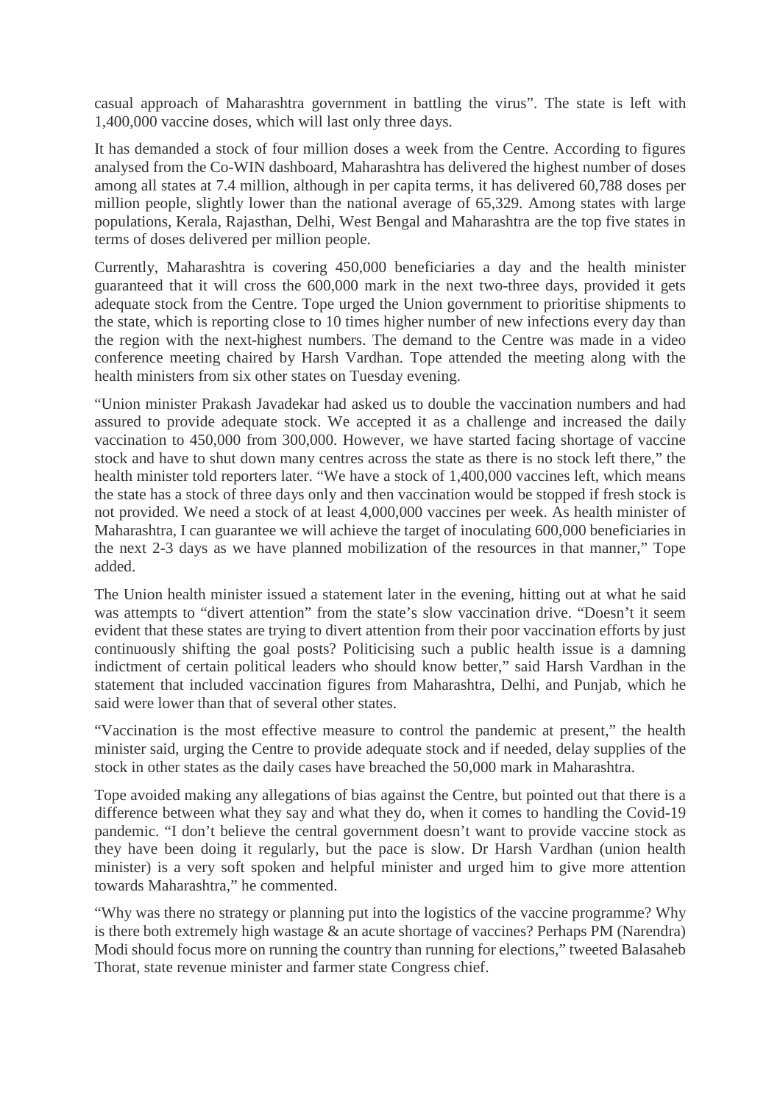casual approach of Maharashtra government in battling the virus". The state is left with 1,400,000 vaccine doses, which will last only three days.

It has demanded a stock of four million doses a week from the Centre. According to figures analysed from the Co-WIN dashboard, Maharashtra has delivered the highest number of doses among all states at 7.4 million, although in per capita terms, it has delivered 60,788 doses per million people, slightly lower than the national average of 65,329. Among states with large populations, Kerala, Rajasthan, Delhi, West Bengal and Maharashtra are the top five states in terms of doses delivered per million people.

Currently, Maharashtra is covering 450,000 beneficiaries a day and the health minister guaranteed that it will cross the 600,000 mark in the next two-three days, provided it gets adequate stock from the Centre. Tope urged the Union government to prioritise shipments to the state, which is reporting close to 10 times higher number of new infections every day than the region with the next-highest numbers. The demand to the Centre was made in a video conference meeting chaired by Harsh Vardhan. Tope attended the meeting along with the health ministers from six other states on Tuesday evening.

"Union minister Prakash Javadekar had asked us to double the vaccination numbers and had assured to provide adequate stock. We accepted it as a challenge and increased the daily vaccination to 450,000 from 300,000. However, we have started facing shortage of vaccine stock and have to shut down many centres across the state as there is no stock left there," the health minister told reporters later. "We have a stock of 1,400,000 vaccines left, which means the state has a stock of three days only and then vaccination would be stopped if fresh stock is not provided. We need a stock of at least 4,000,000 vaccines per week. As health minister of Maharashtra, I can guarantee we will achieve the target of inoculating 600,000 beneficiaries in the next 2-3 days as we have planned mobilization of the resources in that manner," Tope added.

The Union health minister issued a statement later in the evening, hitting out at what he said was attempts to "divert attention" from the state's slow vaccination drive. "Doesn't it seem evident that these states are trying to divert attention from their poor vaccination efforts by just continuously shifting the goal posts? Politicising such a public health issue is a damning indictment of certain political leaders who should know better," said Harsh Vardhan in the statement that included vaccination figures from Maharashtra, Delhi, and Punjab, which he said were lower than that of several other states.

"Vaccination is the most effective measure to control the pandemic at present," the health minister said, urging the Centre to provide adequate stock and if needed, delay supplies of the stock in other states as the daily cases have breached the 50,000 mark in Maharashtra.

Tope avoided making any allegations of bias against the Centre, but pointed out that there is a difference between what they say and what they do, when it comes to handling the Covid-19 pandemic. "I don't believe the central government doesn't want to provide vaccine stock as they have been doing it regularly, but the pace is slow. Dr Harsh Vardhan (union health minister) is a very soft spoken and helpful minister and urged him to give more attention towards Maharashtra," he commented.

"Why was there no strategy or planning put into the logistics of the vaccine programme? Why is there both extremely high wastage & an acute shortage of vaccines? Perhaps PM (Narendra) Modi should focus more on running the country than running for elections," tweeted Balasaheb Thorat, state revenue minister and farmer state Congress chief.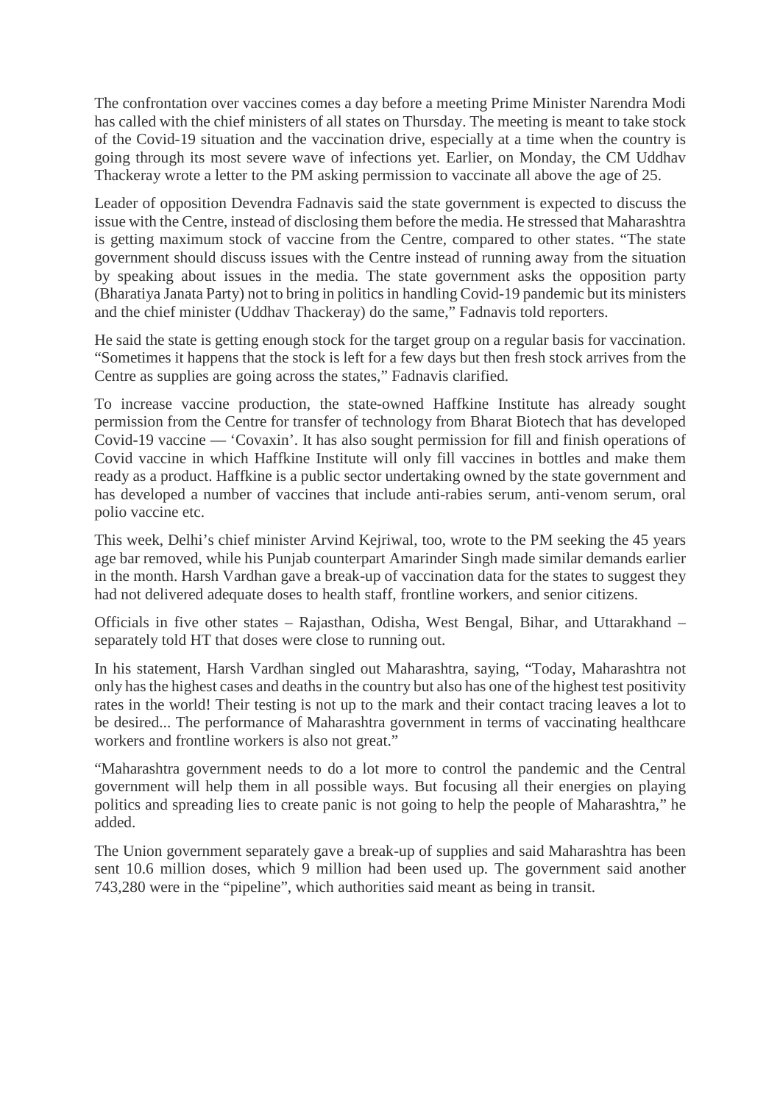The confrontation over vaccines comes a day before a meeting Prime Minister Narendra Modi has called with the chief ministers of all states on Thursday. The meeting is meant to take stock of the Covid-19 situation and the vaccination drive, especially at a time when the country is going through its most severe wave of infections yet. Earlier, on Monday, the CM Uddhav Thackeray wrote a letter to the PM asking permission to vaccinate all above the age of 25.

Leader of opposition Devendra Fadnavis said the state government is expected to discuss the issue with the Centre, instead of disclosing them before the media. He stressed that Maharashtra is getting maximum stock of vaccine from the Centre, compared to other states. "The state government should discuss issues with the Centre instead of running away from the situation by speaking about issues in the media. The state government asks the opposition party (Bharatiya Janata Party) not to bring in politics in handling Covid-19 pandemic but its ministers and the chief minister (Uddhav Thackeray) do the same," Fadnavis told reporters.

He said the state is getting enough stock for the target group on a regular basis for vaccination. "Sometimes it happens that the stock is left for a few days but then fresh stock arrives from the Centre as supplies are going across the states," Fadnavis clarified.

To increase vaccine production, the state-owned Haffkine Institute has already sought permission from the Centre for transfer of technology from Bharat Biotech that has developed Covid-19 vaccine — 'Covaxin'. It has also sought permission for fill and finish operations of Covid vaccine in which Haffkine Institute will only fill vaccines in bottles and make them ready as a product. Haffkine is a public sector undertaking owned by the state government and has developed a number of vaccines that include anti-rabies serum, anti-venom serum, oral polio vaccine etc.

This week, Delhi's chief minister Arvind Kejriwal, too, wrote to the PM seeking the 45 years age bar removed, while his Punjab counterpart Amarinder Singh made similar demands earlier in the month. Harsh Vardhan gave a break-up of vaccination data for the states to suggest they had not delivered adequate doses to health staff, frontline workers, and senior citizens.

Officials in five other states – Rajasthan, Odisha, West Bengal, Bihar, and Uttarakhand – separately told HT that doses were close to running out.

In his statement, Harsh Vardhan singled out Maharashtra, saying, "Today, Maharashtra not only has the highest cases and deaths in the country but also has one of the highest test positivity rates in the world! Their testing is not up to the mark and their contact tracing leaves a lot to be desired... The performance of Maharashtra government in terms of vaccinating healthcare workers and frontline workers is also not great."

"Maharashtra government needs to do a lot more to control the pandemic and the Central government will help them in all possible ways. But focusing all their energies on playing politics and spreading lies to create panic is not going to help the people of Maharashtra," he added.

The Union government separately gave a break-up of supplies and said Maharashtra has been sent 10.6 million doses, which 9 million had been used up. The government said another 743,280 were in the "pipeline", which authorities said meant as being in transit.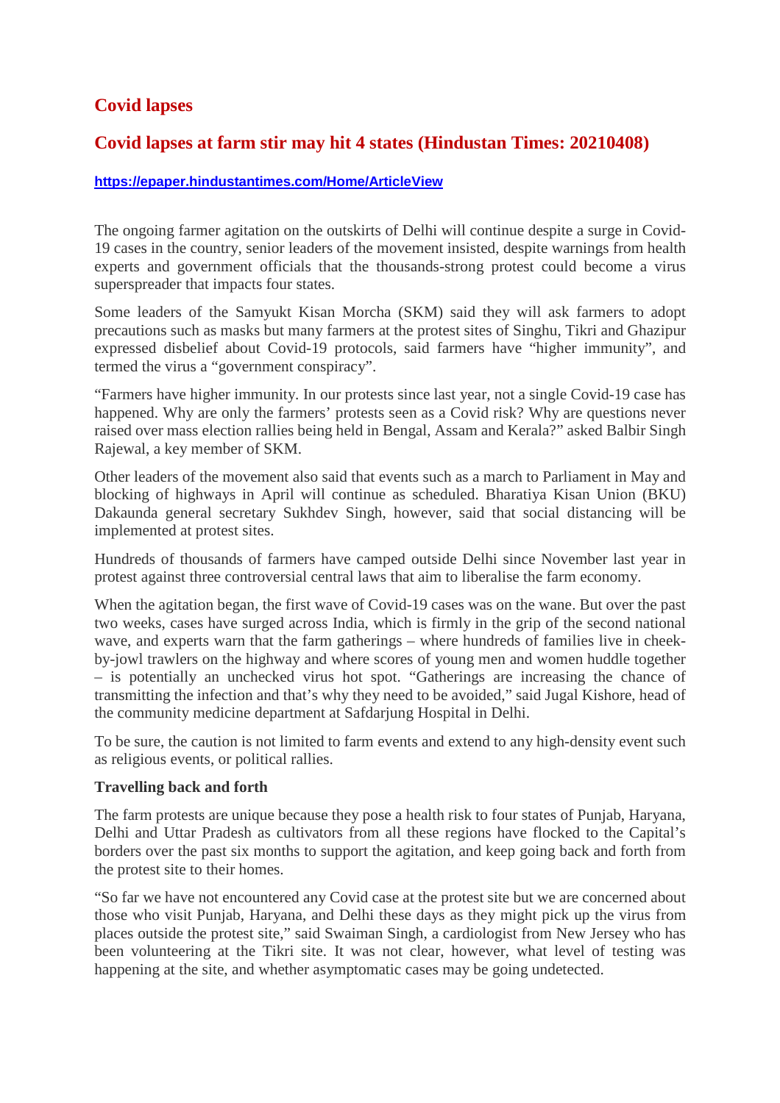#### **Covid lapses**

#### **Covid lapses at farm stir may hit 4 states (Hindustan Times: 20210408)**

#### **https://epaper.hindustantimes.com/Home/ArticleView**

The ongoing farmer agitation on the outskirts of Delhi will continue despite a surge in Covid-19 cases in the country, senior leaders of the movement insisted, despite warnings from health experts and government officials that the thousands-strong protest could become a virus superspreader that impacts four states.

Some leaders of the Samyukt Kisan Morcha (SKM) said they will ask farmers to adopt precautions such as masks but many farmers at the protest sites of Singhu, Tikri and Ghazipur expressed disbelief about Covid-19 protocols, said farmers have "higher immunity", and termed the virus a "government conspiracy".

"Farmers have higher immunity. In our protests since last year, not a single Covid-19 case has happened. Why are only the farmers' protests seen as a Covid risk? Why are questions never raised over mass election rallies being held in Bengal, Assam and Kerala?" asked Balbir Singh Rajewal, a key member of SKM.

Other leaders of the movement also said that events such as a march to Parliament in May and blocking of highways in April will continue as scheduled. Bharatiya Kisan Union (BKU) Dakaunda general secretary Sukhdev Singh, however, said that social distancing will be implemented at protest sites.

Hundreds of thousands of farmers have camped outside Delhi since November last year in protest against three controversial central laws that aim to liberalise the farm economy.

When the agitation began, the first wave of Covid-19 cases was on the wane. But over the past two weeks, cases have surged across India, which is firmly in the grip of the second national wave, and experts warn that the farm gatherings – where hundreds of families live in cheekby-jowl trawlers on the highway and where scores of young men and women huddle together – is potentially an unchecked virus hot spot. "Gatherings are increasing the chance of transmitting the infection and that's why they need to be avoided," said Jugal Kishore, head of the community medicine department at Safdarjung Hospital in Delhi.

To be sure, the caution is not limited to farm events and extend to any high-density event such as religious events, or political rallies.

#### **Travelling back and forth**

The farm protests are unique because they pose a health risk to four states of Punjab, Haryana, Delhi and Uttar Pradesh as cultivators from all these regions have flocked to the Capital's borders over the past six months to support the agitation, and keep going back and forth from the protest site to their homes.

"So far we have not encountered any Covid case at the protest site but we are concerned about those who visit Punjab, Haryana, and Delhi these days as they might pick up the virus from places outside the protest site," said Swaiman Singh, a cardiologist from New Jersey who has been volunteering at the Tikri site. It was not clear, however, what level of testing was happening at the site, and whether asymptomatic cases may be going undetected.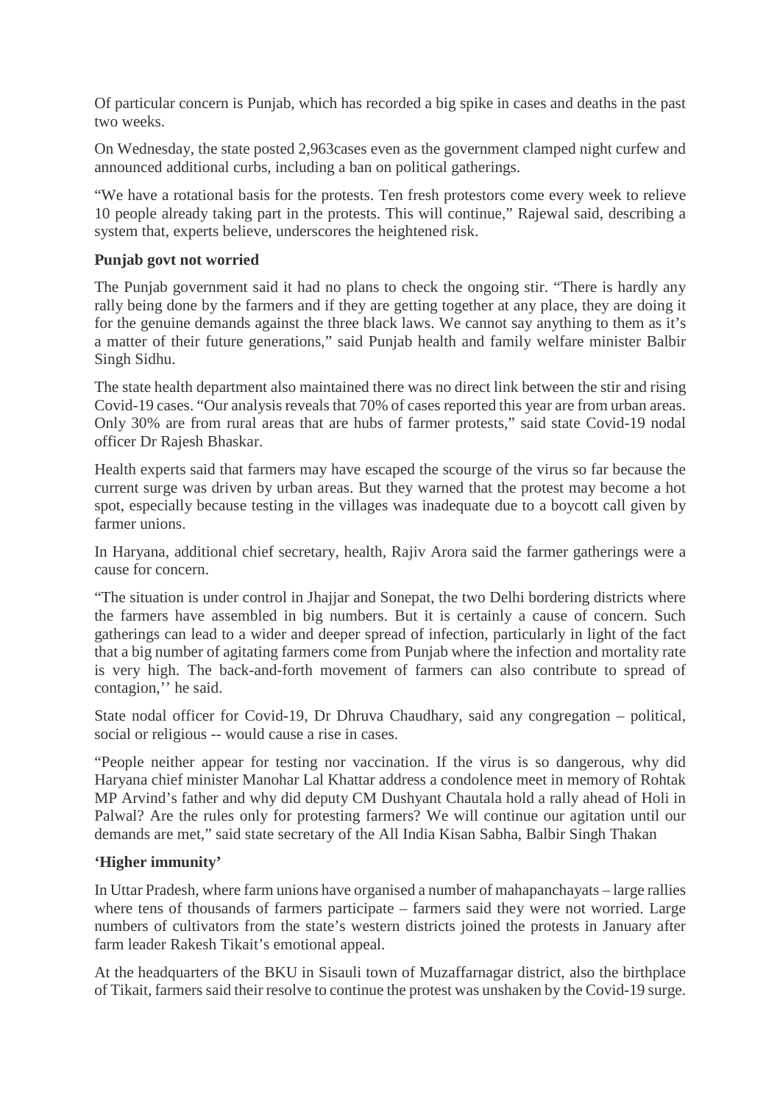Of particular concern is Punjab, which has recorded a big spike in cases and deaths in the past two weeks.

On Wednesday, the state posted 2,963cases even as the government clamped night curfew and announced additional curbs, including a ban on political gatherings.

"We have a rotational basis for the protests. Ten fresh protestors come every week to relieve 10 people already taking part in the protests. This will continue," Rajewal said, describing a system that, experts believe, underscores the heightened risk.

#### **Punjab govt not worried**

The Punjab government said it had no plans to check the ongoing stir. "There is hardly any rally being done by the farmers and if they are getting together at any place, they are doing it for the genuine demands against the three black laws. We cannot say anything to them as it's a matter of their future generations," said Punjab health and family welfare minister Balbir Singh Sidhu.

The state health department also maintained there was no direct link between the stir and rising Covid-19 cases. "Our analysis reveals that 70% of cases reported this year are from urban areas. Only 30% are from rural areas that are hubs of farmer protests," said state Covid-19 nodal officer Dr Rajesh Bhaskar.

Health experts said that farmers may have escaped the scourge of the virus so far because the current surge was driven by urban areas. But they warned that the protest may become a hot spot, especially because testing in the villages was inadequate due to a boycott call given by farmer unions.

In Haryana, additional chief secretary, health, Rajiv Arora said the farmer gatherings were a cause for concern.

"The situation is under control in Jhajjar and Sonepat, the two Delhi bordering districts where the farmers have assembled in big numbers. But it is certainly a cause of concern. Such gatherings can lead to a wider and deeper spread of infection, particularly in light of the fact that a big number of agitating farmers come from Punjab where the infection and mortality rate is very high. The back-and-forth movement of farmers can also contribute to spread of contagion,'' he said.

State nodal officer for Covid-19, Dr Dhruva Chaudhary, said any congregation – political, social or religious -- would cause a rise in cases.

"People neither appear for testing nor vaccination. If the virus is so dangerous, why did Haryana chief minister Manohar Lal Khattar address a condolence meet in memory of Rohtak MP Arvind's father and why did deputy CM Dushyant Chautala hold a rally ahead of Holi in Palwal? Are the rules only for protesting farmers? We will continue our agitation until our demands are met," said state secretary of the All India Kisan Sabha, Balbir Singh Thakan

#### **'Higher immunity'**

In Uttar Pradesh, where farm unions have organised a number of mahapanchayats – large rallies where tens of thousands of farmers participate – farmers said they were not worried. Large numbers of cultivators from the state's western districts joined the protests in January after farm leader Rakesh Tikait's emotional appeal.

At the headquarters of the BKU in Sisauli town of Muzaffarnagar district, also the birthplace of Tikait, farmers said their resolve to continue the protest was unshaken by the Covid-19 surge.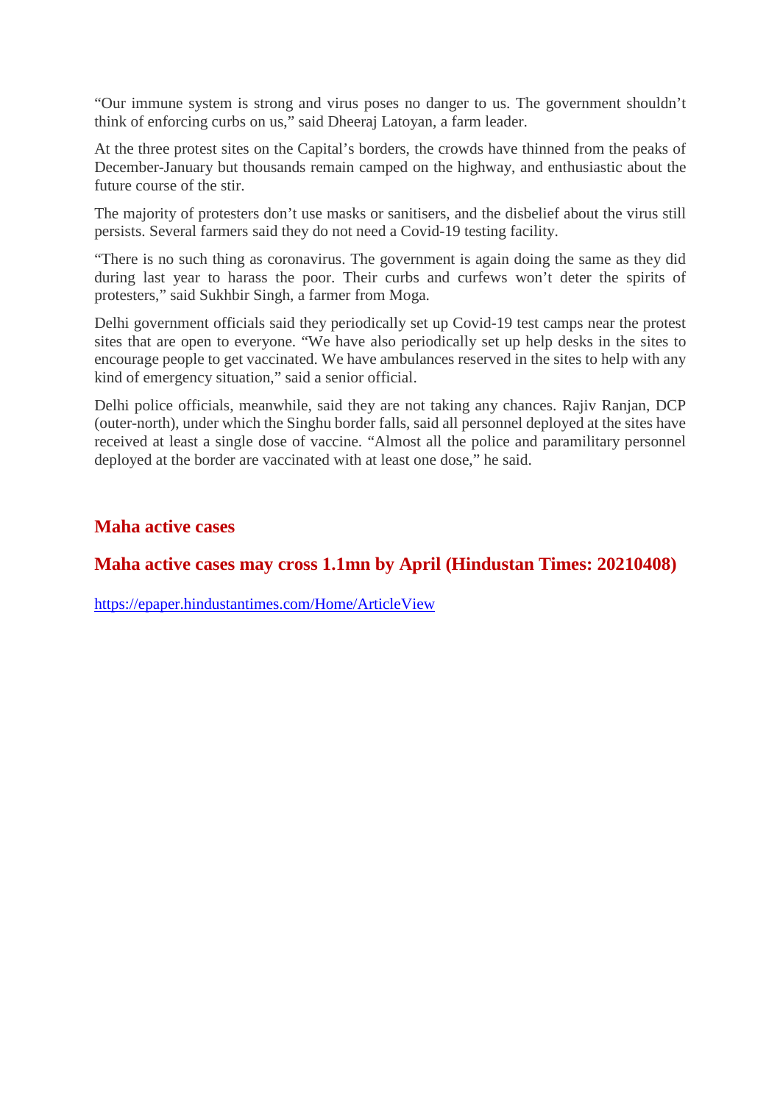"Our immune system is strong and virus poses no danger to us. The government shouldn't think of enforcing curbs on us," said Dheeraj Latoyan, a farm leader.

At the three protest sites on the Capital's borders, the crowds have thinned from the peaks of December-January but thousands remain camped on the highway, and enthusiastic about the future course of the stir.

The majority of protesters don't use masks or sanitisers, and the disbelief about the virus still persists. Several farmers said they do not need a Covid-19 testing facility.

"There is no such thing as coronavirus. The government is again doing the same as they did during last year to harass the poor. Their curbs and curfews won't deter the spirits of protesters," said Sukhbir Singh, a farmer from Moga.

Delhi government officials said they periodically set up Covid-19 test camps near the protest sites that are open to everyone. "We have also periodically set up help desks in the sites to encourage people to get vaccinated. We have ambulances reserved in the sites to help with any kind of emergency situation," said a senior official.

Delhi police officials, meanwhile, said they are not taking any chances. Rajiv Ranjan, DCP (outer-north), under which the Singhu border falls, said all personnel deployed at the sites have received at least a single dose of vaccine. "Almost all the police and paramilitary personnel deployed at the border are vaccinated with at least one dose," he said.

#### **Maha active cases**

#### **Maha active cases may cross 1.1mn by April (Hindustan Times: 20210408)**

https://epaper.hindustantimes.com/Home/ArticleView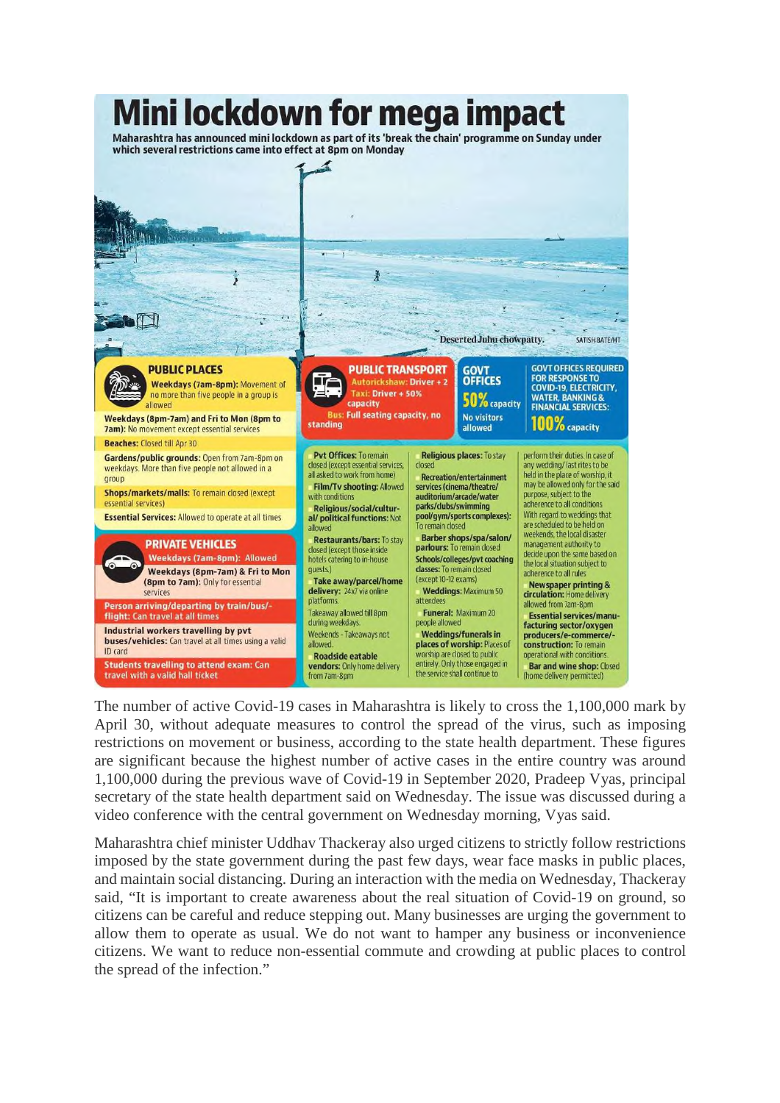

The number of active Covid-19 cases in Maharashtra is likely to cross the 1,100,000 mark by April 30, without adequate measures to control the spread of the virus, such as imposing restrictions on movement or business, according to the state health department. These figures are significant because the highest number of active cases in the entire country was around 1,100,000 during the previous wave of Covid-19 in September 2020, Pradeep Vyas, principal secretary of the state health department said on Wednesday. The issue was discussed during a video conference with the central government on Wednesday morning, Vyas said.

Maharashtra chief minister Uddhav Thackeray also urged citizens to strictly follow restrictions imposed by the state government during the past few days, wear face masks in public places, and maintain social distancing. During an interaction with the media on Wednesday, Thackeray said, "It is important to create awareness about the real situation of Covid-19 on ground, so citizens can be careful and reduce stepping out. Many businesses are urging the government to allow them to operate as usual. We do not want to hamper any business or inconvenience citizens. We want to reduce non-essential commute and crowding at public places to control the spread of the infection."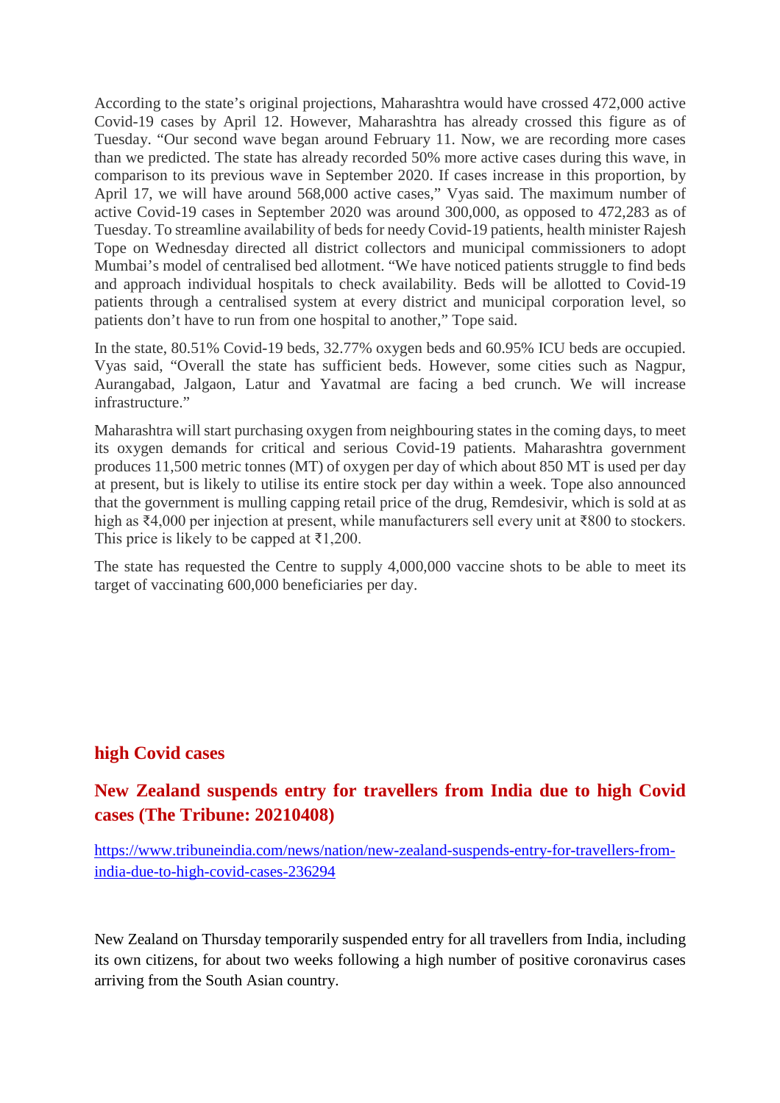According to the state's original projections, Maharashtra would have crossed 472,000 active Covid-19 cases by April 12. However, Maharashtra has already crossed this figure as of Tuesday. "Our second wave began around February 11. Now, we are recording more cases than we predicted. The state has already recorded 50% more active cases during this wave, in comparison to its previous wave in September 2020. If cases increase in this proportion, by April 17, we will have around 568,000 active cases," Vyas said. The maximum number of active Covid-19 cases in September 2020 was around 300,000, as opposed to 472,283 as of Tuesday. To streamline availability of beds for needy Covid-19 patients, health minister Rajesh Tope on Wednesday directed all district collectors and municipal commissioners to adopt Mumbai's model of centralised bed allotment. "We have noticed patients struggle to find beds and approach individual hospitals to check availability. Beds will be allotted to Covid-19 patients through a centralised system at every district and municipal corporation level, so patients don't have to run from one hospital to another," Tope said.

In the state, 80.51% Covid-19 beds, 32.77% oxygen beds and 60.95% ICU beds are occupied. Vyas said, "Overall the state has sufficient beds. However, some cities such as Nagpur, Aurangabad, Jalgaon, Latur and Yavatmal are facing a bed crunch. We will increase infrastructure."

Maharashtra will start purchasing oxygen from neighbouring states in the coming days, to meet its oxygen demands for critical and serious Covid-19 patients. Maharashtra government produces 11,500 metric tonnes (MT) of oxygen per day of which about 850 MT is used per day at present, but is likely to utilise its entire stock per day within a week. Tope also announced that the government is mulling capping retail price of the drug, Remdesivir, which is sold at as high as ₹4,000 per injection at present, while manufacturers sell every unit at ₹800 to stockers. This price is likely to be capped at  $\bar{\tau}$ 1,200.

The state has requested the Centre to supply 4,000,000 vaccine shots to be able to meet its target of vaccinating 600,000 beneficiaries per day.

#### **high Covid cases**

#### **New Zealand suspends entry for travellers from India due to high Covid cases (The Tribune: 20210408)**

https://www.tribuneindia.com/news/nation/new-zealand-suspends-entry-for-travellers-fromindia-due-to-high-covid-cases-236294

New Zealand on Thursday temporarily suspended entry for all travellers from India, including its own citizens, for about two weeks following a high number of positive coronavirus cases arriving from the South Asian country.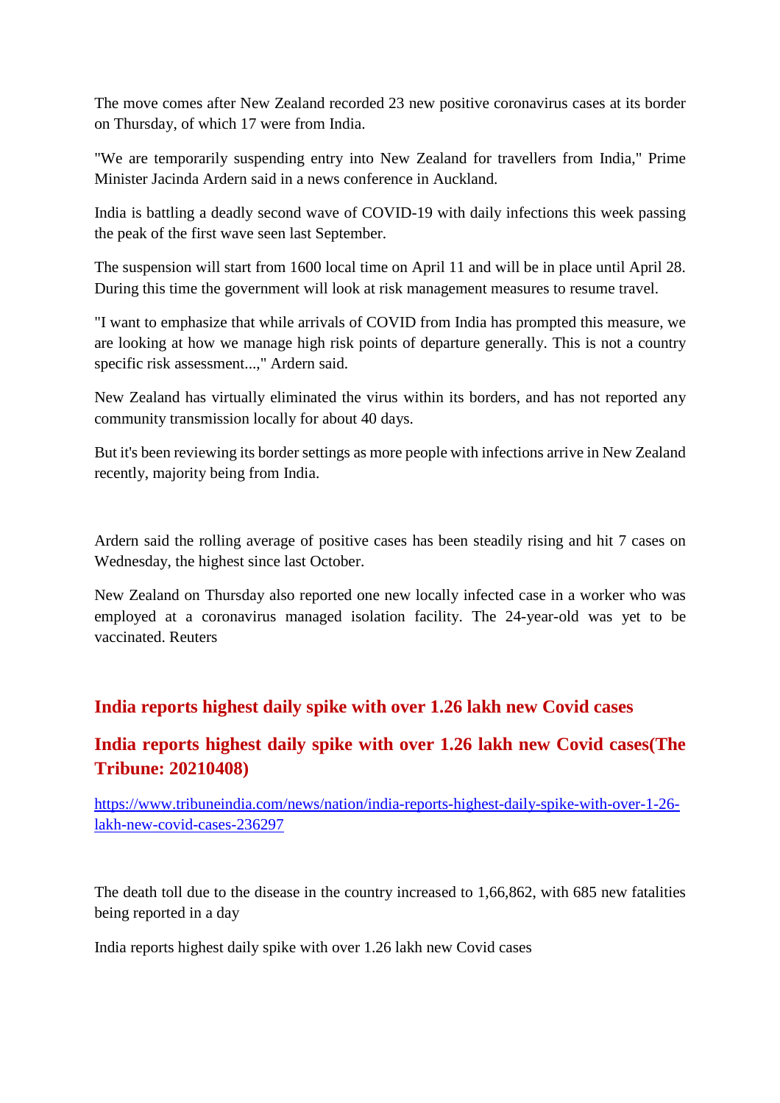The move comes after New Zealand recorded 23 new positive coronavirus cases at its border on Thursday, of which 17 were from India.

"We are temporarily suspending entry into New Zealand for travellers from India," Prime Minister Jacinda Ardern said in a news conference in Auckland.

India is battling a deadly second wave of COVID-19 with daily infections this week passing the peak of the first wave seen last September.

The suspension will start from 1600 local time on April 11 and will be in place until April 28. During this time the government will look at risk management measures to resume travel.

"I want to emphasize that while arrivals of COVID from India has prompted this measure, we are looking at how we manage high risk points of departure generally. This is not a country specific risk assessment...," Ardern said.

New Zealand has virtually eliminated the virus within its borders, and has not reported any community transmission locally for about 40 days.

But it's been reviewing its border settings as more people with infections arrive in New Zealand recently, majority being from India.

Ardern said the rolling average of positive cases has been steadily rising and hit 7 cases on Wednesday, the highest since last October.

New Zealand on Thursday also reported one new locally infected case in a worker who was employed at a coronavirus managed isolation facility. The 24-year-old was yet to be vaccinated. Reuters

#### **India reports highest daily spike with over 1.26 lakh new Covid cases**

#### **India reports highest daily spike with over 1.26 lakh new Covid cases(The Tribune: 20210408)**

https://www.tribuneindia.com/news/nation/india-reports-highest-daily-spike-with-over-1-26 lakh-new-covid-cases-236297

The death toll due to the disease in the country increased to 1,66,862, with 685 new fatalities being reported in a day

India reports highest daily spike with over 1.26 lakh new Covid cases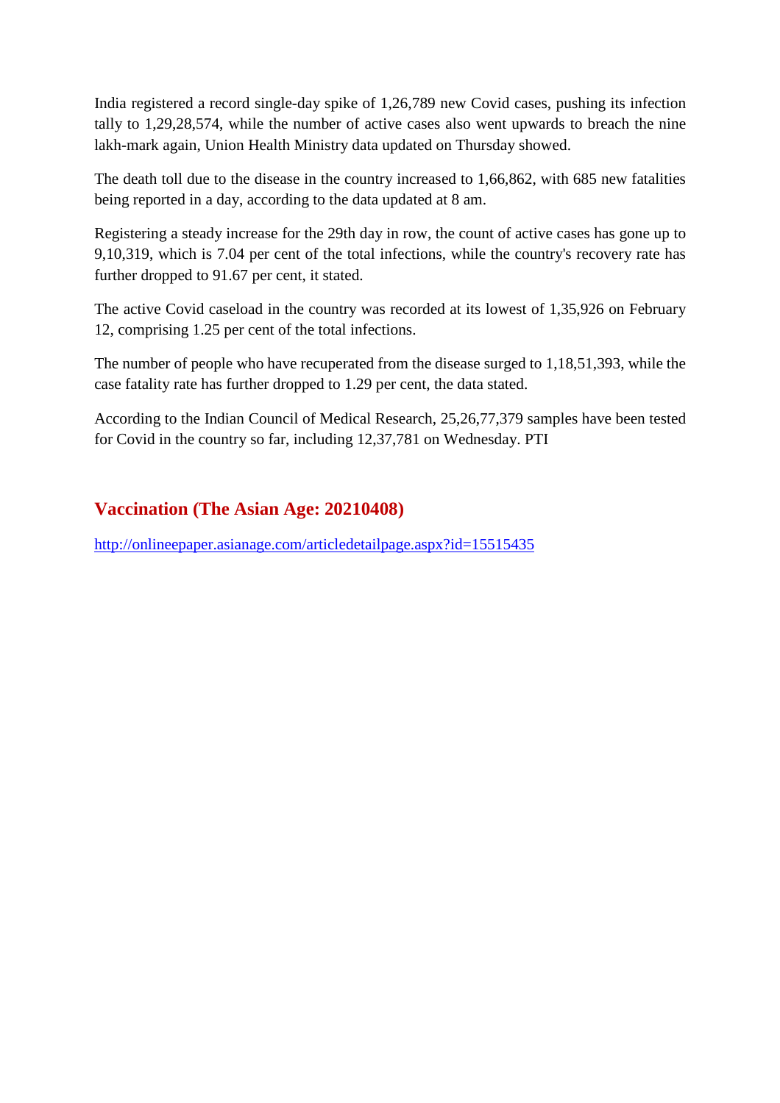India registered a record single-day spike of 1,26,789 new Covid cases, pushing its infection tally to 1,29,28,574, while the number of active cases also went upwards to breach the nine lakh-mark again, Union Health Ministry data updated on Thursday showed.

The death toll due to the disease in the country increased to 1,66,862, with 685 new fatalities being reported in a day, according to the data updated at 8 am.

Registering a steady increase for the 29th day in row, the count of active cases has gone up to 9,10,319, which is 7.04 per cent of the total infections, while the country's recovery rate has further dropped to 91.67 per cent, it stated.

The active Covid caseload in the country was recorded at its lowest of 1,35,926 on February 12, comprising 1.25 per cent of the total infections.

The number of people who have recuperated from the disease surged to 1,18,51,393, while the case fatality rate has further dropped to 1.29 per cent, the data stated.

According to the Indian Council of Medical Research, 25,26,77,379 samples have been tested for Covid in the country so far, including 12,37,781 on Wednesday. PTI

#### **Vaccination (The Asian Age: 20210408)**

http://onlineepaper.asianage.com/articledetailpage.aspx?id=15515435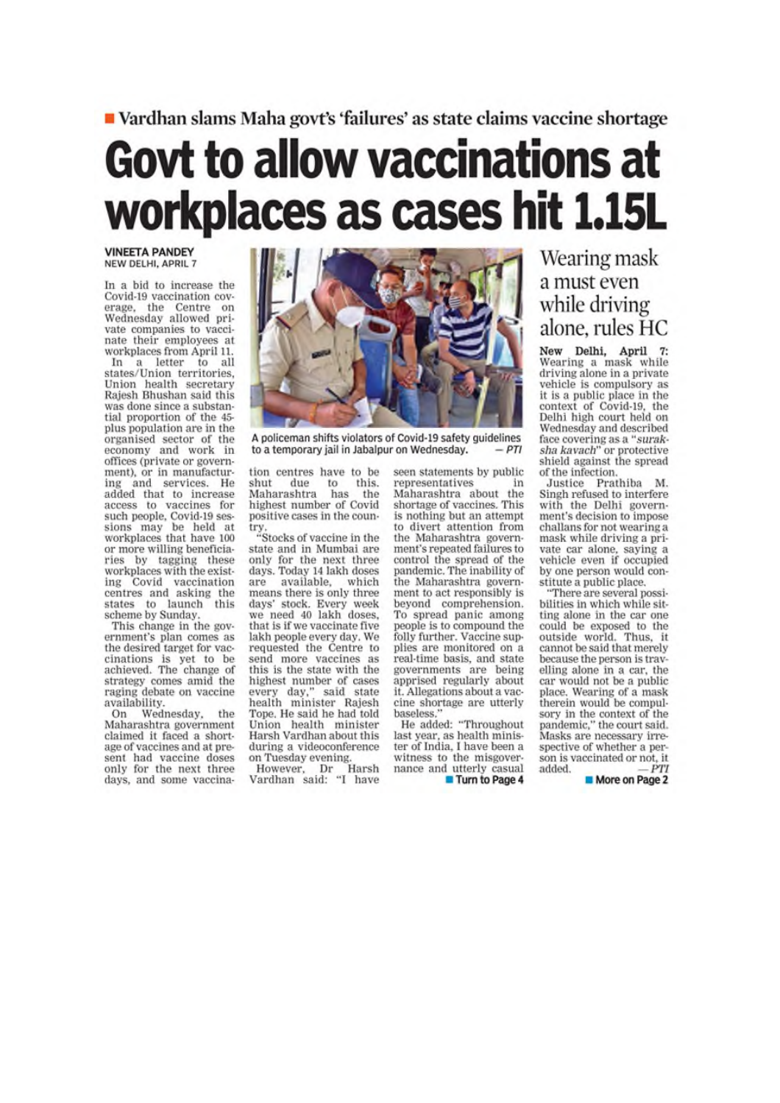### Vardhan slams Maha govt's 'failures' as state claims vaccine shortage **Govt to allow vaccinations at** workplaces as cases hit 1.15L

#### **VINEETA PANDEY** NEW DELHI, APRIL 7

In a bid to increase the Covid-19 vaccination coverage, the Centre on Wednesday allowed private companies to vaccinate their employees at workplaces from April 11.

In a letter to all<br>states/Union territories, Union health secretary Rajesh Bhushan said this was done since a substantial proportion of the 45plus population are in the organised sector of the economy and work in<br>offices (private or government), or in manufacturing and services. He added that to increase<br>access to vaccines for such people, Covid-19 sessions may be held at<br>workplaces that have 100 or more willing beneficiaries by tagging these<br>workplaces with the existworkpaces with the exist-<br>ing Covid vaccination<br>centres and asking the<br>states to launch this<br>scheme by Sunday.

This change in the government's plan comes as the desired target for vaccinations is yet to be achieved. The change of strategy comes amid the raging debate on vaccine availability.

Wednesday, On the Maharashtra government claimed it faced a shortage of vaccines and at present had vaccine doses only for the next three days, and some vaccina-



A policeman shifts violators of Covid-19 safety guidelines  $-PTI$ to a temporary jail in Jabalpur on Wednesday.

tion centres have to be this. shut due to Maharashtra has the highest number of Covid positive cases in the coun-

try.<br>"Stocks of vaccine in the state and in Mumbai are only for the next three<br>days. Today 14 lakh doses available, which are means there is only three days' stock. Every week<br>we need 40 lakh doses, that is if we vaccinate five lakh people every day. We requested the Centre to send more vaccines as this is the state with the highest number of cases<br>every day," said state every day," said state<br>health minister Rajesh Tope. He said he had told Union health minister Harsh Vardhan about this during a videoconference on Tuesday evening.

However, Dr Harsh<br>Vardhan said: "I have

seen statements by public representatives in

Maharashtra about the shortage of vaccines. This is nothing but an attempt to divert attention from the Maharashtra government's repeated failures to control the spread of the pandemic. The inability of the Maharashtra government to act responsibly is beyond comprehension. To spread panic among people is to compound the folly further. Vaccine supplies are monitored on a<br>real-time basis, and state governments are being apprised regularly about it. Allegations about a vaccine shortage are utterly baseless.

He added: "Throughout last year, as health minister of India, I have been a witness to the misgovernance and utterly casual

**Turn to Page 4** 

#### Wearing mask a must even while driving alone, rules HC

New Delhi, April Wearing a mask while driving alone in a private vehicle is compulsory as it is a public place in the context of Covid-19, the<br>Delhi high court held on Wednesday and described<br>face covering as a "suraksha kavach" or protective<br>shield against the spread of the infection.

Justice Prathiba M. Singh refused to interfere with the Delhi government's decision to impose challans for not wearing a mask while driving a private car alone, saying a<br>vehicle even if occupied<br>by one person would constitute a public place.

There are several possibilities in which while sit-<br>ting alone in the car one could be exposed to the outside world. Thus, it cannot be said that merely because the person is travelling alone in a car, the car would not be a public place. Wearing of a mask therein would be compulsory in the context of the<br>pandemic," the court said. Masks are necessary irrespective of whether a person is vaccinated or not, it added.  $-PTI$ 

More on Page 2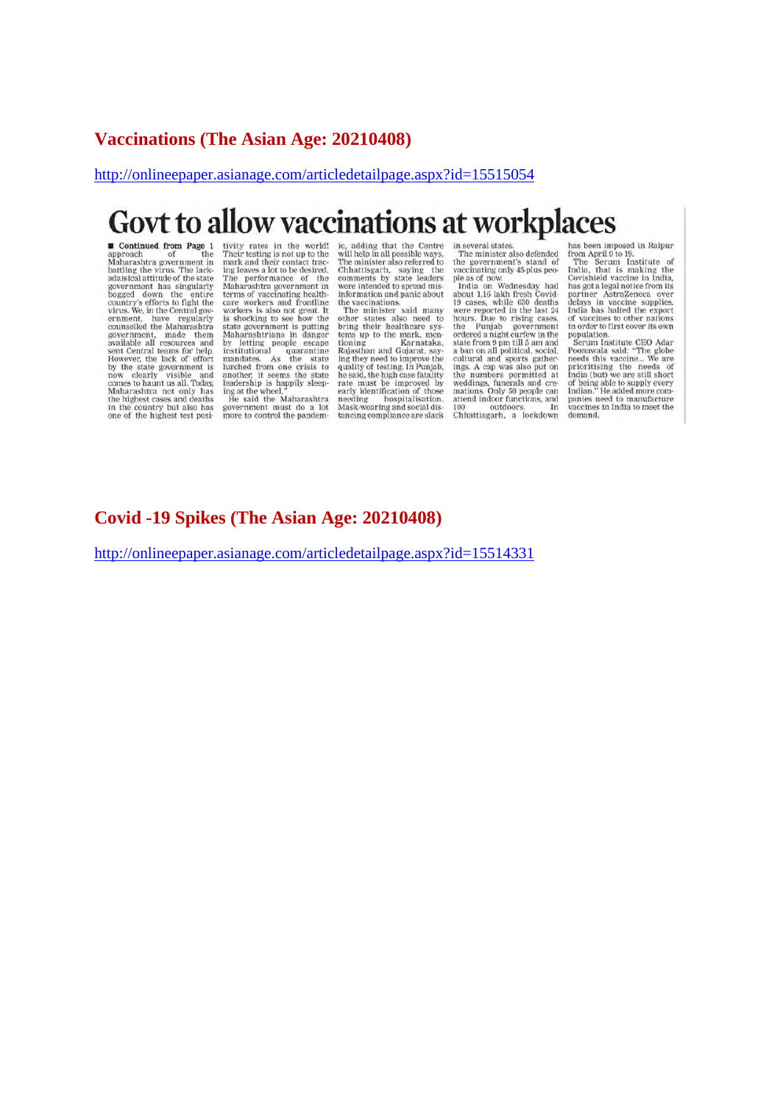#### **Vaccinations (The Asian Age: 20210408)**

#### http://onlineepaper.asianage.com/articledetailpage.aspx?id=15515054

### Govt to allow vaccinations at workplaces

Continued from Page 1 approach of the Maharashtra government in Maharashtra government in<br>battling the virus. The lack-<br>adaisical attitude of the state<br>government has singularly<br>bogged down the entire<br>country's efforts to fight the<br>virus. We, in the Central government, have regularly<br>g available air resources and<br>sent Central teams for help.<br>However, the lack of effort<br>now clearly visible and<br>comes to haunt us all. Today, Maharashtra not only has<br>the highest cases and deaths<br>in the country but also has<br>one of the highest test posi-

tivity rates in the world!<br>Their testing is not up to the<br>mark and their contact tracmark and their contact trace<br>mark and their contact trace<br>in the person alot to be desired.<br>The performance of the<br>Maharashtra government in<br>terms of vaccinating health-<br>workers is also not great. It<br>shocking to see how th ing at the wheel."<br>
He said the Maharashtra<br>
He said the Maharashtra<br>
government must do a lot<br>
more to control the pandemic, adding that the Centre<br>will help in all possible ways.<br>The minister also referred to<br>Chhattisgarh, saying the<br>comments by state leaders<br>were intended to spread mis-<br>information and panic about<br>the vaccinations the vaccinations.

The minister said many<br>The minister said many<br>other states also need to<br>bring their healthcare systems<br>toming<br>toming the mark, men-<br>king falgastham and Gujarat, say<br>ing they need to improve the<br>quality of testing. In Punja rate must be improved by Face must be<br>reading hospitalisation.<br>Mask-wearing and social distancing compliance are slack

in several states.<br>The minister also defended<br>the government's stand of<br>vaccinating only 45-plus peo-

vaccinating only 45-plus peo-<br>place and now the same of moving a solution and a solution<br>19 cases, while 630 deaths<br>19 cases, while 630 deaths<br>were reported in the last 24<br>hours. Due to rising cases,<br>the Punjab government<br> ordered a night curfew in the<br>state from 9 pm till 5 am and<br>a ban on all political, social,<br>cultural and sports gather-<br>ings. A cap was also put on<br>the numbers permitted at<br>weddings, tunerals and cremations. Only 50 people

**EXECUTE:**<br>The Seem imposed in Raipur<br>from April 9 to 19.<br>The Serum Institute of<br>India, that is making the<br>Covishield vaction in India,<br>has got a legal notice from its<br>partner AstraZeneca over<br>India has hatched the export<br>

#### **Covid -19 Spikes (The Asian Age: 20210408)**

http://onlineepaper.asianage.com/articledetailpage.aspx?id=15514331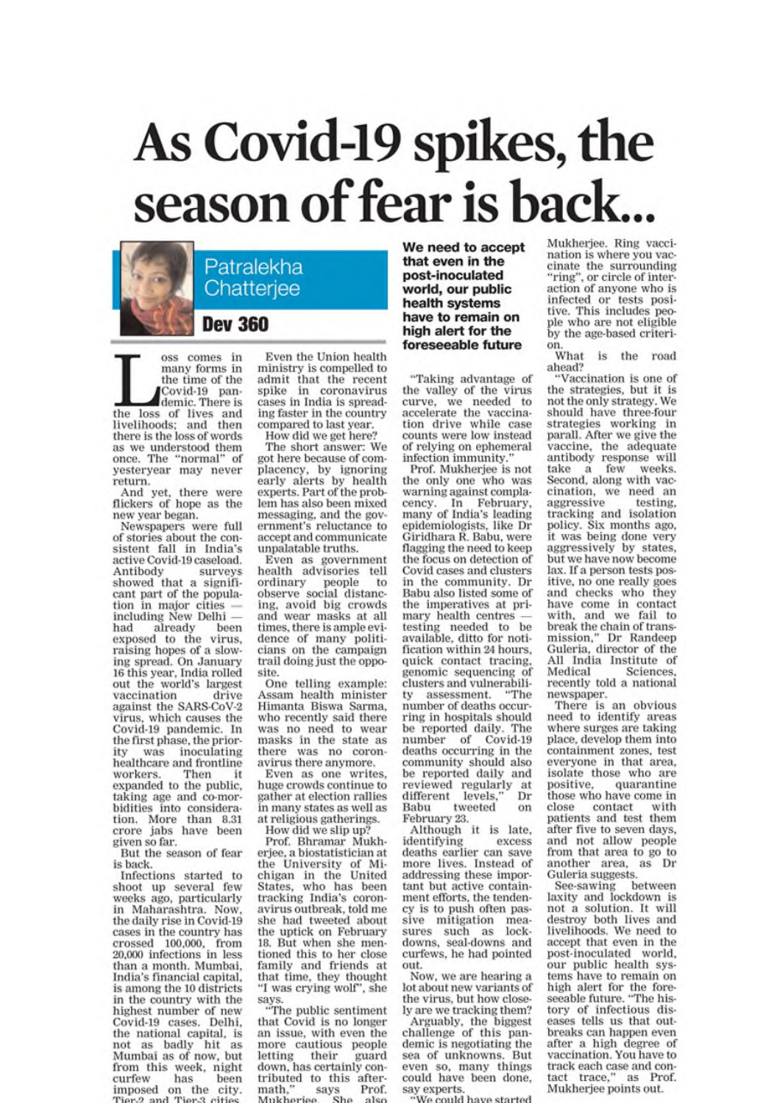# As Covid-19 spikes, the season of fear is back.



oss comes in many forms in the time of the Covid-19 pan-<br>demic. There is the loss of lives and<br>livelihoods; and then there is the loss of words as we understood them once. The "normal" of yesteryear may never return.

And yet, there were<br>flickers of hope as the new year began.

Newspapers were full of stories about the consistent fall in India's active Covid-19 caseload. Antibody Antibody surveys<br>showed that a significant part of the population in major cities —<br>including New Delhi had already been exposed to the virus, raising hopes of a slowing spread. On January 16 this year, India rolled out the world's largest vaccination drive against the SARS-CoV-2 virus, which causes the Covid-19 pandemic. In<br>the first phase, the prioritv was inoculating healthcare and frontline workers. Then  $\mathbf{H}$ expanded to the public, taking age and co-morbidities into consideration. More than 8.31 crore jabs have been given so far.

But the season of fear is back.

Infections started to shoot up several few weeks ago, particularly in Maharashtra. Now, the daily rise in Covid-19 cases in the country has crossed 100,000, from 20,000 infections in less than a month. Mumbai, India's financial capital, is among the 10 districts in the country with the highest number of new Covid-19 cases. Delhi, the national capital, is<br>not as badly hit as<br>Mumbai as of now, but from this week, night<br>curfew has been imposed on the city.<br>Tier-2 and Tier-3 cities

Even the Union health ministry is compelled to admit that the recent spike in coronavirus<br>cases in India is spreading faster in the country compared to last year.

How did we get here? The short answer: We got here because of complacency, by ignoring<br>early alerts by health experts. Part of the problem has also been mixed messaging, and the government's reluctance to accept and communicate unpalatable truths.

Even as government<br>health advisories tell ordinary people to<br>observe social distancing, avoid big crowds and wear masks at all times, there is ample evidence of many politicians on the campaign trail doing just the opposite.

One telling example: Assam health minister Himanta Biswa Sarma, who recently said there was no need to wear<br>masks in the state as there was no coronavirus there anymore.

Even as one writes, huge crowds continue to gather at election rallies in many states as well as at religious gatherings.

How did we slip up!

Prof. Bhramar Mukherjee, a biostatistician at the University of Michigan in the United<br>States, who has been tracking India's coronavirus outbreak, told me she had tweeted about the uptick on February 18. But when she mentioned this to her close family and friends at that time, they thought "I was crying wolf", she

says.<br>"The public sentiment that Covid is no longer an issue, with even the more cautious people letting their guard down, has certainly contributed to this aftermath." Prof. says Mukheriee She  $<sub>a</sub>$  len</sub>

We need to accept that even in the post-inoculated world, our public health systems have to remain on high alert for the foreseeable future

"Taking advantage of the valley of the virus curve, we needed to accelerate the vaccination drive while case counts were low instead of relying on ephemeral infection immunity.

Prof. Mukherjee is not the only one who was warning against complacency. In February,<br>many of India's leading epidemiologists, like Dr Giridhara R. Babu, were flagging the need to keep the focus on detection of Covid cases and clusters in the community. Dr Babu also listed some of the imperatives at primary health centres testing needed to be available, ditto for notification within 24 hours, quick contact tracing. genomic sequencing of clusters and vulnerability assessment. "The number of deaths occurring in hospitals should be reported daily. The<br>number of Covid-19 deaths occurring in the community should also be reported daily and reviewed regularly at Dr different levels, Babu tweeted on February 23.

Although it is late, identifying excess deaths earlier can save more lives. Instead of addressing these important but active containment efforts, the tendency is to push often passive mitigation<br>sures such as mealockdowns, seal-downs and curfews, he had pointed out.

Now, we are hearing a lot about new variants of the virus, but how closely are we tracking them?

Arguably, the biggest challenge of this pandemic is negotiating the sea of unknowns. But even so, many things<br>could have been done, say experts.

le could have started

Mukherjee. Ring vaccination is where you vaccinate the surrounding<br>"ring", or circle of interaction of anyone who is infected or tests positive. This includes people who are not eligible by the age-based criterion.

What is the road ahead?

"Vaccination is one of the strategies, but it is not the only strategy. We should have three-four strategies working in parall. After we give the vaccine, the adequate<br>antibody response will<br>take a few weeks. take a few weeks.<br>Second, along with vaccination, we need an aggressive testing. tracking and isolation policy. Six months ago, it was being done very<br>aggressively by states, but we have now become lax. If a person tests positive, no one really goes<br>and checks who they have come in contact<br>with, and we fail to with, and we fail to<br>break the chain of trans-<br>mission," Dr Randeep<br>Guleria, director of the All India Institute of Medical Sciences. recently told a national newspaper.

There is an obvious need to identify areas where surges are taking place, develop them into containment zones, test everyone in that area, isolate those who are positive. quarantine those who have come in close contact with<br>patients and test them after five to seven days, and not allow people from that area to go to another area, as Dr Guleria suggests.

See-sawing between laxity and lockdown is not a solution. It will destroy both lives and livelihoods. We need to accept that even in the post-inoculated world. our public health systems have to remain on high alert for the fore-<br>seeable future. "The history of infectious diseases tells us that outbreaks can happen even after a high degree of vaccination. You have to track each case and contact trace," as Prof. Mukherjee points out.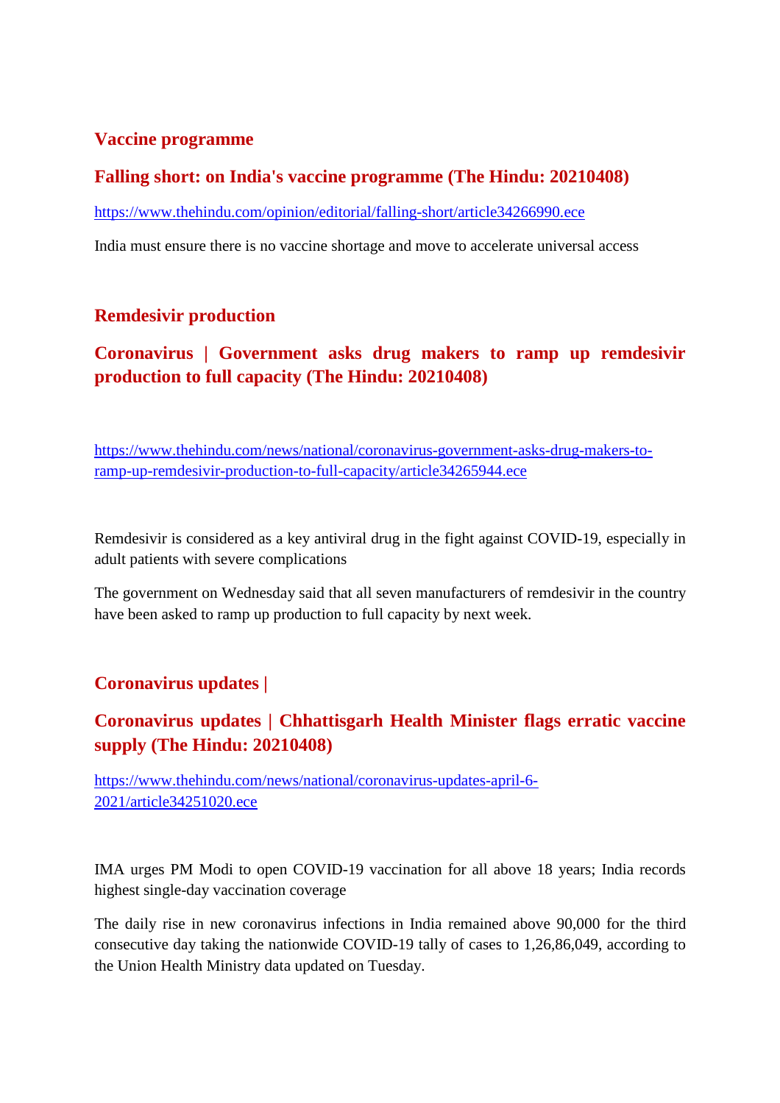#### **Vaccine programme**

#### **Falling short: on India's vaccine programme (The Hindu: 20210408)**

https://www.thehindu.com/opinion/editorial/falling-short/article34266990.ece

India must ensure there is no vaccine shortage and move to accelerate universal access

#### **Remdesivir production**

#### **Coronavirus | Government asks drug makers to ramp up remdesivir production to full capacity (The Hindu: 20210408)**

https://www.thehindu.com/news/national/coronavirus-government-asks-drug-makers-toramp-up-remdesivir-production-to-full-capacity/article34265944.ece

Remdesivir is considered as a key antiviral drug in the fight against COVID-19, especially in adult patients with severe complications

The government on Wednesday said that all seven manufacturers of remdesivir in the country have been asked to ramp up production to full capacity by next week.

#### **Coronavirus updates |**

#### **Coronavirus updates | Chhattisgarh Health Minister flags erratic vaccine supply (The Hindu: 20210408)**

https://www.thehindu.com/news/national/coronavirus-updates-april-6- 2021/article34251020.ece

IMA urges PM Modi to open COVID-19 vaccination for all above 18 years; India records highest single-day vaccination coverage

The daily rise in new coronavirus infections in India remained above 90,000 for the third consecutive day taking the nationwide COVID-19 tally of cases to 1,26,86,049, according to the Union Health Ministry data updated on Tuesday.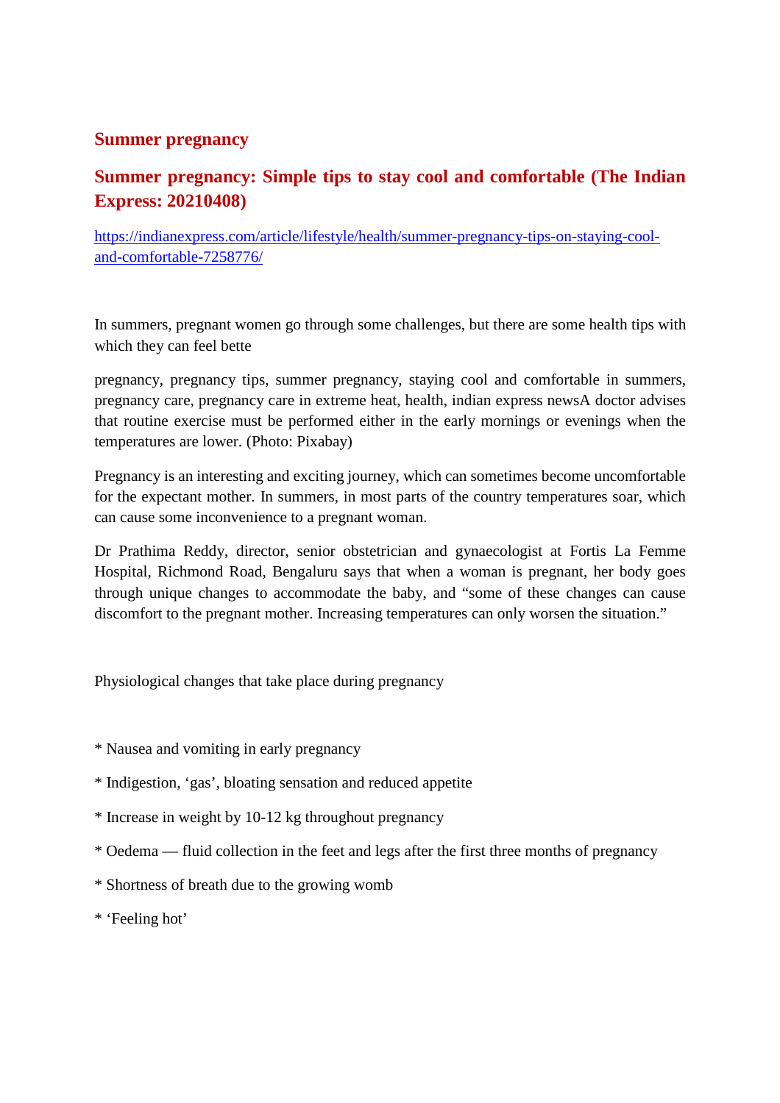#### **Summer pregnancy**

#### **Summer pregnancy: Simple tips to stay cool and comfortable (The Indian Express: 20210408)**

https://indianexpress.com/article/lifestyle/health/summer-pregnancy-tips-on-staying-cooland-comfortable-7258776/

In summers, pregnant women go through some challenges, but there are some health tips with which they can feel bette

pregnancy, pregnancy tips, summer pregnancy, staying cool and comfortable in summers, pregnancy care, pregnancy care in extreme heat, health, indian express newsA doctor advises that routine exercise must be performed either in the early mornings or evenings when the temperatures are lower. (Photo: Pixabay)

Pregnancy is an interesting and exciting journey, which can sometimes become uncomfortable for the expectant mother. In summers, in most parts of the country temperatures soar, which can cause some inconvenience to a pregnant woman.

Dr Prathima Reddy, director, senior obstetrician and gynaecologist at Fortis La Femme Hospital, Richmond Road, Bengaluru says that when a woman is pregnant, her body goes through unique changes to accommodate the baby, and "some of these changes can cause discomfort to the pregnant mother. Increasing temperatures can only worsen the situation."

Physiological changes that take place during pregnancy

- \* Nausea and vomiting in early pregnancy
- \* Indigestion, 'gas', bloating sensation and reduced appetite
- \* Increase in weight by 10-12 kg throughout pregnancy
- \* Oedema fluid collection in the feet and legs after the first three months of pregnancy
- \* Shortness of breath due to the growing womb
- \* 'Feeling hot'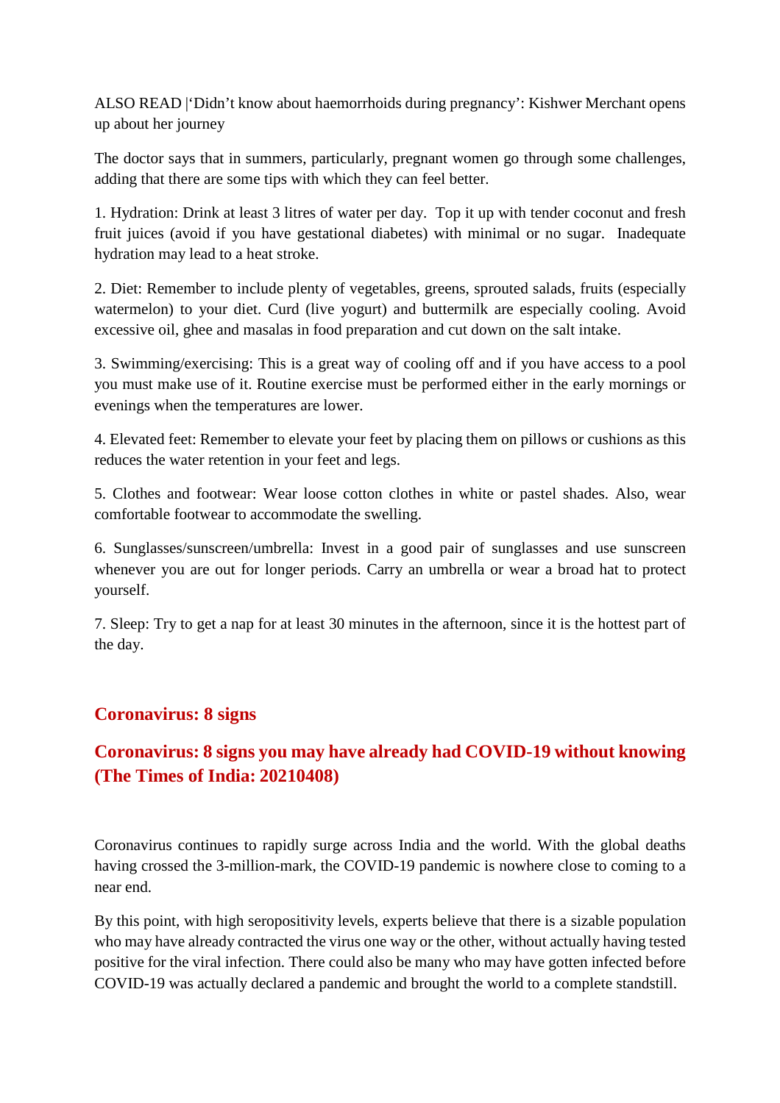ALSO READ |'Didn't know about haemorrhoids during pregnancy': Kishwer Merchant opens up about her journey

The doctor says that in summers, particularly, pregnant women go through some challenges, adding that there are some tips with which they can feel better.

1. Hydration: Drink at least 3 litres of water per day. Top it up with tender coconut and fresh fruit juices (avoid if you have gestational diabetes) with minimal or no sugar. Inadequate hydration may lead to a heat stroke.

2. Diet: Remember to include plenty of vegetables, greens, sprouted salads, fruits (especially watermelon) to your diet. Curd (live yogurt) and buttermilk are especially cooling. Avoid excessive oil, ghee and masalas in food preparation and cut down on the salt intake.

3. Swimming/exercising: This is a great way of cooling off and if you have access to a pool you must make use of it. Routine exercise must be performed either in the early mornings or evenings when the temperatures are lower.

4. Elevated feet: Remember to elevate your feet by placing them on pillows or cushions as this reduces the water retention in your feet and legs.

5. Clothes and footwear: Wear loose cotton clothes in white or pastel shades. Also, wear comfortable footwear to accommodate the swelling.

6. Sunglasses/sunscreen/umbrella: Invest in a good pair of sunglasses and use sunscreen whenever you are out for longer periods. Carry an umbrella or wear a broad hat to protect yourself.

7. Sleep: Try to get a nap for at least 30 minutes in the afternoon, since it is the hottest part of the day.

#### **Coronavirus: 8 signs**

#### **Coronavirus: 8 signs you may have already had COVID-19 without knowing (The Times of India: 20210408)**

Coronavirus continues to rapidly surge across India and the world. With the global deaths having crossed the 3-million-mark, the COVID-19 pandemic is nowhere close to coming to a near end.

By this point, with high seropositivity levels, experts believe that there is a sizable population who may have already contracted the virus one way or the other, without actually having tested positive for the viral infection. There could also be many who may have gotten infected before COVID-19 was actually declared a pandemic and brought the world to a complete standstill.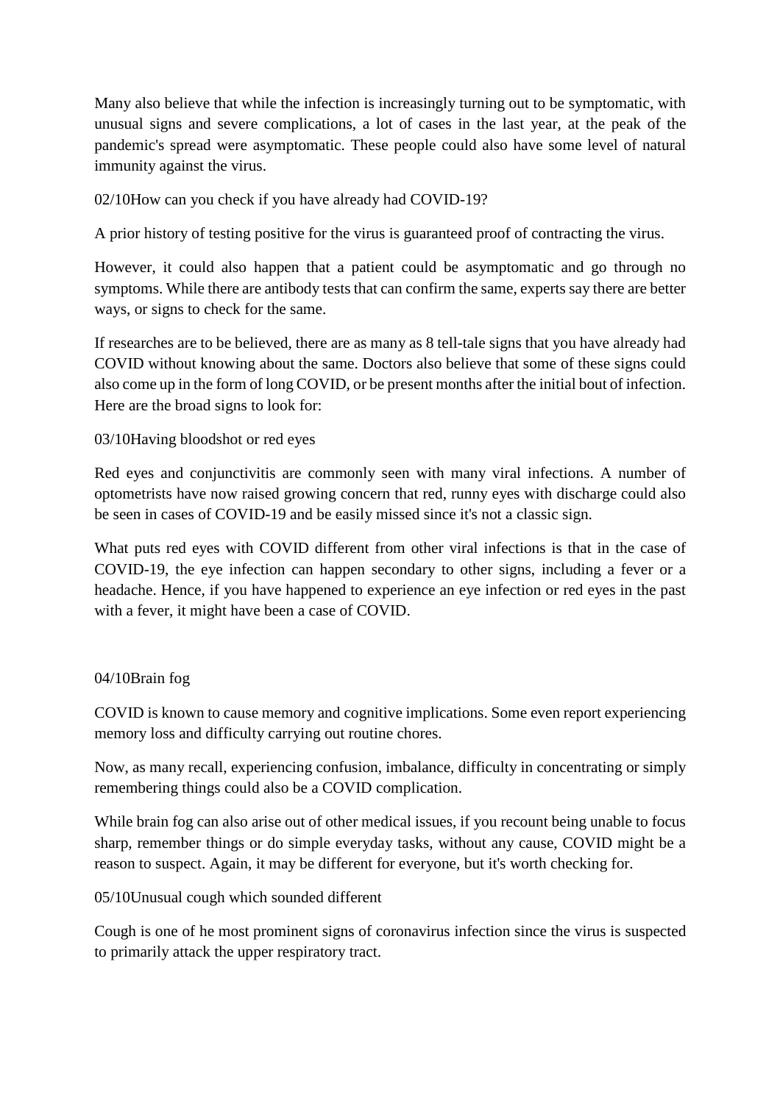Many also believe that while the infection is increasingly turning out to be symptomatic, with unusual signs and severe complications, a lot of cases in the last year, at the peak of the pandemic's spread were asymptomatic. These people could also have some level of natural immunity against the virus.

#### 02/10How can you check if you have already had COVID-19?

A prior history of testing positive for the virus is guaranteed proof of contracting the virus.

However, it could also happen that a patient could be asymptomatic and go through no symptoms. While there are antibody tests that can confirm the same, experts say there are better ways, or signs to check for the same.

If researches are to be believed, there are as many as 8 tell-tale signs that you have already had COVID without knowing about the same. Doctors also believe that some of these signs could also come up in the form of long COVID, or be present months after the initial bout of infection. Here are the broad signs to look for:

#### 03/10Having bloodshot or red eyes

Red eyes and conjunctivitis are commonly seen with many viral infections. A number of optometrists have now raised growing concern that red, runny eyes with discharge could also be seen in cases of COVID-19 and be easily missed since it's not a classic sign.

What puts red eyes with COVID different from other viral infections is that in the case of COVID-19, the eye infection can happen secondary to other signs, including a fever or a headache. Hence, if you have happened to experience an eye infection or red eyes in the past with a fever, it might have been a case of COVID.

#### 04/10Brain fog

COVID is known to cause memory and cognitive implications. Some even report experiencing memory loss and difficulty carrying out routine chores.

Now, as many recall, experiencing confusion, imbalance, difficulty in concentrating or simply remembering things could also be a COVID complication.

While brain fog can also arise out of other medical issues, if you recount being unable to focus sharp, remember things or do simple everyday tasks, without any cause, COVID might be a reason to suspect. Again, it may be different for everyone, but it's worth checking for.

#### 05/10Unusual cough which sounded different

Cough is one of he most prominent signs of coronavirus infection since the virus is suspected to primarily attack the upper respiratory tract.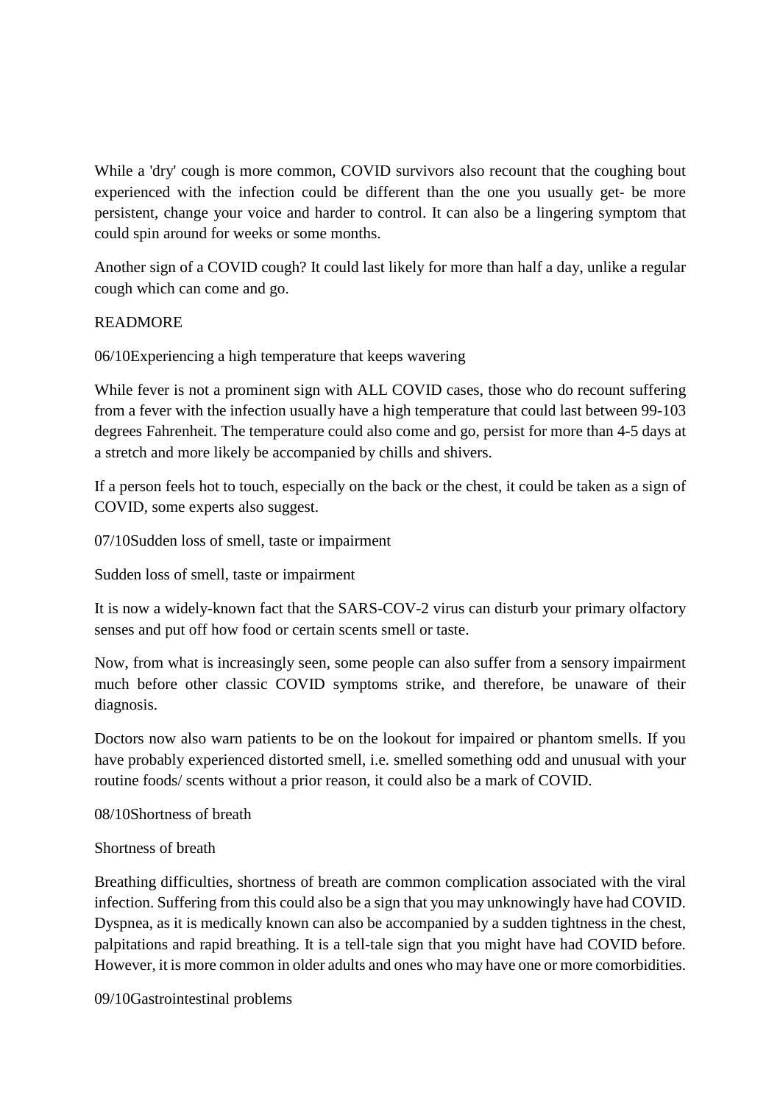While a 'dry' cough is more common, COVID survivors also recount that the coughing bout experienced with the infection could be different than the one you usually get- be more persistent, change your voice and harder to control. It can also be a lingering symptom that could spin around for weeks or some months.

Another sign of a COVID cough? It could last likely for more than half a day, unlike a regular cough which can come and go.

#### READMORE

06/10Experiencing a high temperature that keeps wavering

While fever is not a prominent sign with ALL COVID cases, those who do recount suffering from a fever with the infection usually have a high temperature that could last between 99-103 degrees Fahrenheit. The temperature could also come and go, persist for more than 4-5 days at a stretch and more likely be accompanied by chills and shivers.

If a person feels hot to touch, especially on the back or the chest, it could be taken as a sign of COVID, some experts also suggest.

07/10Sudden loss of smell, taste or impairment

Sudden loss of smell, taste or impairment

It is now a widely-known fact that the SARS-COV-2 virus can disturb your primary olfactory senses and put off how food or certain scents smell or taste.

Now, from what is increasingly seen, some people can also suffer from a sensory impairment much before other classic COVID symptoms strike, and therefore, be unaware of their diagnosis.

Doctors now also warn patients to be on the lookout for impaired or phantom smells. If you have probably experienced distorted smell, i.e. smelled something odd and unusual with your routine foods/ scents without a prior reason, it could also be a mark of COVID.

08/10Shortness of breath

#### Shortness of breath

Breathing difficulties, shortness of breath are common complication associated with the viral infection. Suffering from this could also be a sign that you may unknowingly have had COVID. Dyspnea, as it is medically known can also be accompanied by a sudden tightness in the chest, palpitations and rapid breathing. It is a tell-tale sign that you might have had COVID before. However, it is more common in older adults and ones who may have one or more comorbidities.

09/10Gastrointestinal problems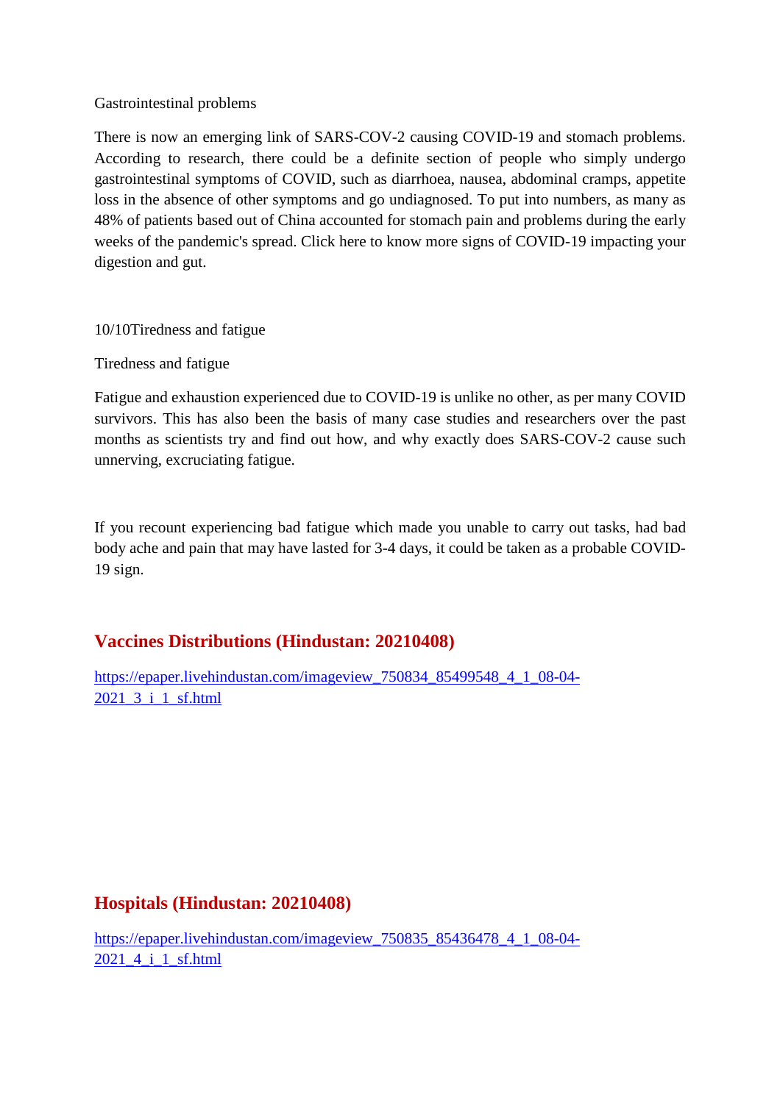#### Gastrointestinal problems

There is now an emerging link of SARS-COV-2 causing COVID-19 and stomach problems. According to research, there could be a definite section of people who simply undergo gastrointestinal symptoms of COVID, such as diarrhoea, nausea, abdominal cramps, appetite loss in the absence of other symptoms and go undiagnosed. To put into numbers, as many as 48% of patients based out of China accounted for stomach pain and problems during the early weeks of the pandemic's spread. Click here to know more signs of COVID-19 impacting your digestion and gut.

10/10Tiredness and fatigue

Tiredness and fatigue

Fatigue and exhaustion experienced due to COVID-19 is unlike no other, as per many COVID survivors. This has also been the basis of many case studies and researchers over the past months as scientists try and find out how, and why exactly does SARS-COV-2 cause such unnerving, excruciating fatigue.

If you recount experiencing bad fatigue which made you unable to carry out tasks, had bad body ache and pain that may have lasted for 3-4 days, it could be taken as a probable COVID-19 sign.

#### **Vaccines Distributions (Hindustan: 20210408)**

https://epaper.livehindustan.com/imageview\_750834\_85499548\_4\_1\_08-04- 2021\_3\_i\_1\_sf.html

#### **Hospitals (Hindustan: 20210408)**

https://epaper.livehindustan.com/imageview\_750835\_85436478\_4\_1\_08-04- 2021\_4\_i\_1\_sf.html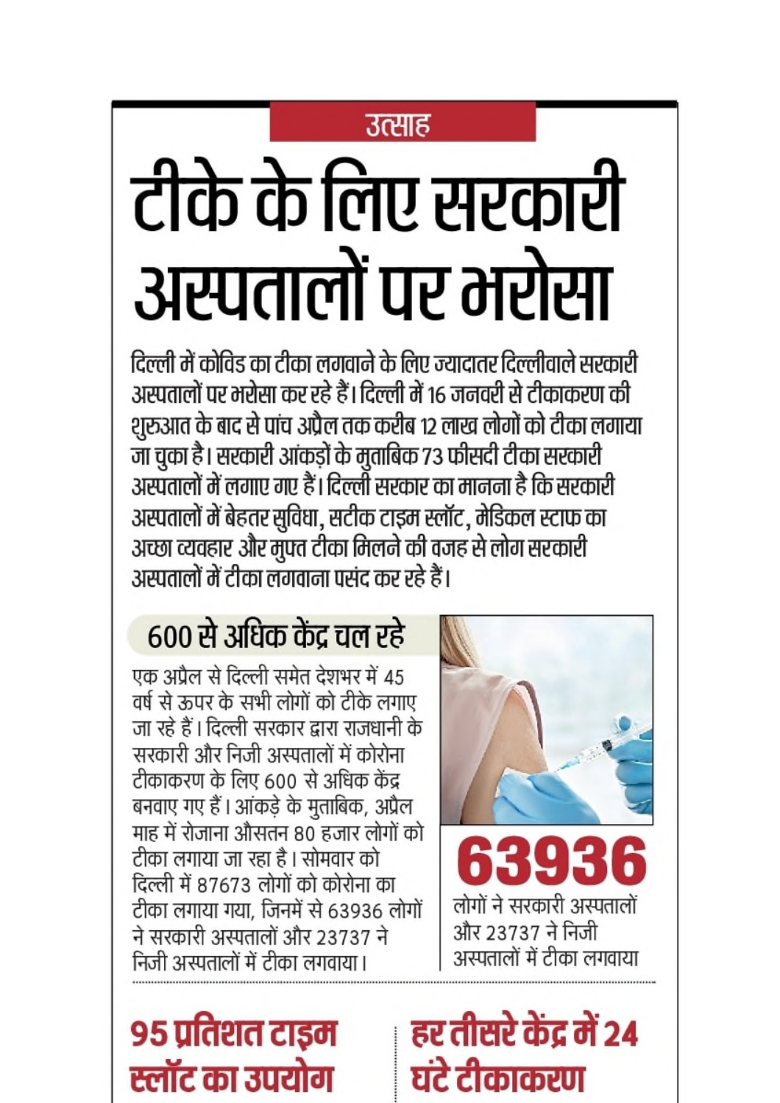### उत्साह

# टीके के लिए सरकारी अस्पतालों पर भरोसा

दिल्ली में कोविड का टीका लगवाने के लिए ज्यादातर दिल्लीवाले सरकारी अस्पतालों पर भरोसा कर रहे हैं। दिल्ली में १६ जनवरी से टीकाकरण की शुरुआत के बाद से पांच अप्रैल तक करीब 12 लाख लोगों को टीका लगाया जा चुका है। सरकारी आंकड़ों के मुताबिक 73 फीसदी टीका सरकारी अस्पतालों में लगाए गए हैं। दिल्ली सरकार का मानना है कि सरकारी अस्पतालों में बेहतर सुविधा, सटीक टाइम स्लॉट, मेडिकल स्टाफ का अच्छा व्यवहार और मुफ्त टीका मिलने की वजह से लोग सरकारी अस्पतालों में टीका लगवाना पसंद कर रहे हैं।

### 600 से अधिक केंद्र चल रहे

एक अप्रैल से दिल्ली समेत देशभर में 45 वर्ष से ऊपर के सभी लोगों को टीके लगाए जा रहे हैं। दिल्ली सरकार द्वारा राजधानी के सरकारी और निजी अस्पतालों में कोरोना टीकाकरण के लिए 600 से अधिक केंद्र बनवाए गए हैं। आंकड़े के मुताबिक, अप्रैल माह में रोजाना औसतन 80 हजार लोगों को टीका लगाया जा रहा है। सोमवार को दिल्ली में 87673 लोगों को कोरोना का टीका लगाया गया, जिनमें से 63936 लोगों ने सरकारी अस्पतालों और 23737 ने निजी अस्पतालों में टीका लगवाया।



लोगों ने सरकारी अस्पतालों और 23737 ने निजी गनालों में टीका लगवाय

### ९५ प्रतिशत टाइम स्लॉट का उपयोग

## हर तीसरे केंद्र में 24 घंटे टीकाकरण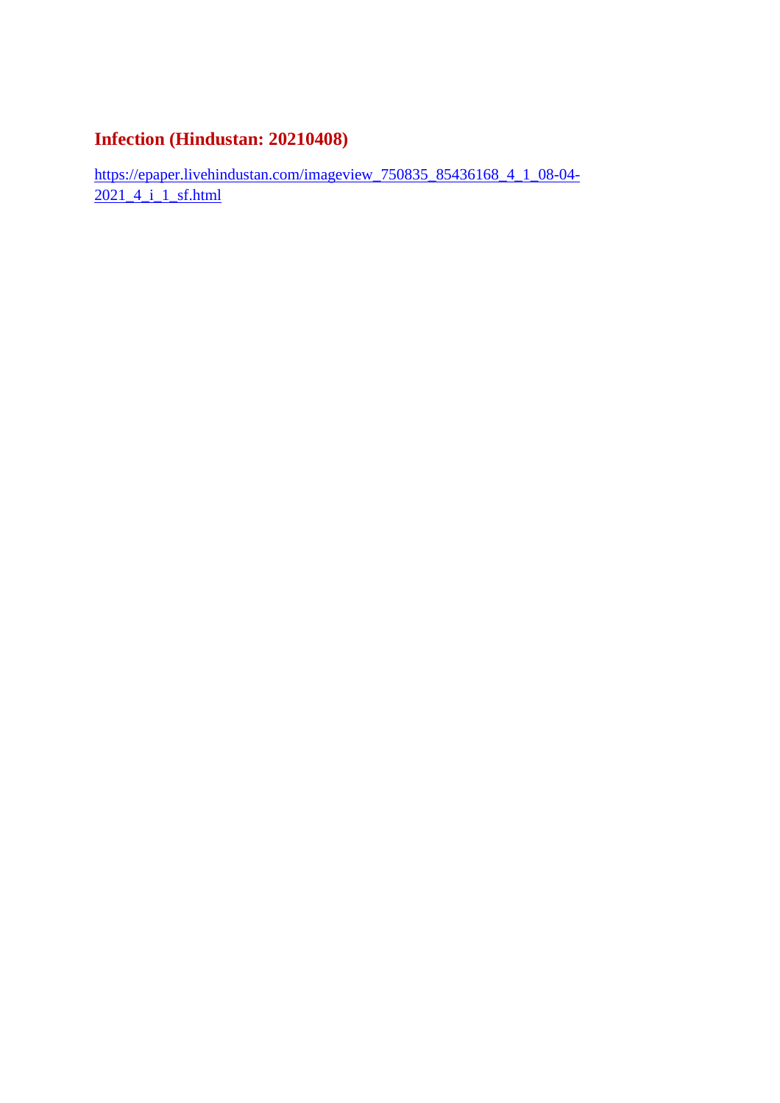#### **Infection (Hindustan: 20210408)**

https://epaper.livehindustan.com/imageview\_750835\_85436168\_4\_1\_08-04- 2021 4 i 1 sf.html